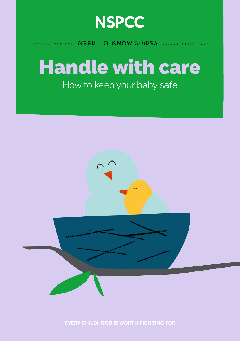

## Need-to-know guides

## Handle with care How to keep your baby safe



**EVERY CHILDHOOD IS WORTH FIGHTING FOR**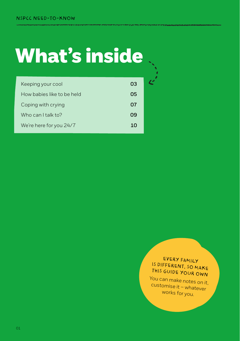## What's inside

| Keeping your cool          | 03 |  |
|----------------------------|----|--|
| How babies like to be held | 05 |  |
| Coping with crying         | 07 |  |
| Who can I talk to?         | 09 |  |
| We're here for you 24/7    | 10 |  |
|                            |    |  |

## Every family is different, so make this guide your own

You can make notes on it, customise it – whatever works for you.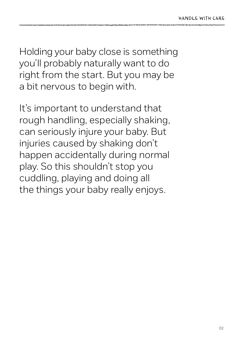Holding your baby close is something you'll probably naturally want to do right from the start. But you may be a bit nervous to begin with.

It's important to understand that rough handling, especially shaking, can seriously injure your baby. But injuries caused by shaking don't happen accidentally during normal play. So this shouldn't stop you cuddling, playing and doing all the things your baby really enjoys.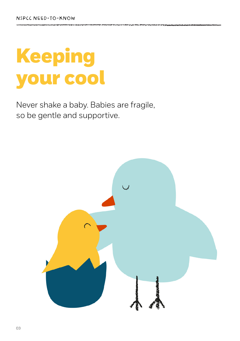## Keeping your cool

Never shake a baby. Babies are fragile, so be gentle and supportive.

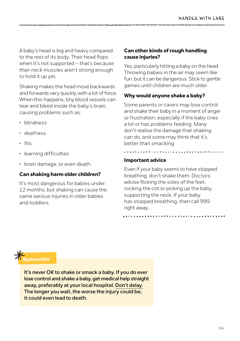A baby's head is big and heavy compared to the rest of its body. Their head flops when it's not supported – that's because their neck muscles aren't strong enough to hold it up yet.

Shaking makes the head move backwards and forwards very quickly, with a lot of force. When this happens, tiny blood vessels can tear and bleed inside the baby's brain, causing problems such as:

- blindness
- deafness
- fits
- learning difficulties
- brain damage, or even death.

### **Can shaking harm older children?**

It's most dangerous for babies under 12 months, but shaking can cause the same serious injuries in older babies and toddlers.

### **Can other kinds of rough handling cause injuries?**

Yes, particularly hitting a baby on the head. Throwing babies in the air may seem like fun, but it can be dangerous. Stick to gentle games until children are much older.

### **Why would anyone shake a baby?**

Some parents or carers may lose control and shake their baby in a moment of anger or frustration, especially if the baby cries a lot or has problems feeding. Many don't realise the damage that shaking can do, and some may think that it's better than smacking.

## . . . . . . . . . . . . . . **Important advice**

Even if your baby seems to have stopped breathing, don't shake them. Doctors advise flicking the soles of the feet, rocking the cot or picking up the baby, supporting the neck. If your baby has stopped breathing, then call 999 right away.

**Remember**

**It's never OK to shake or smack a baby. If you do ever lose control and shake a baby, get medical help straight away, preferably at your local hospital. Don't delay. The longer you wait, the worse the injury could be; it could even lead to death.**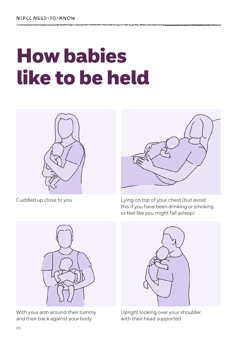## How babies like to be held



Cuddled up close to you



Lying on top of your chest (but avoid this if you have been drinking or smoking, or feel like you might fall asleep)



With your arm around their tummy and their back against your body



Upright looking over your shoulder, with their head supported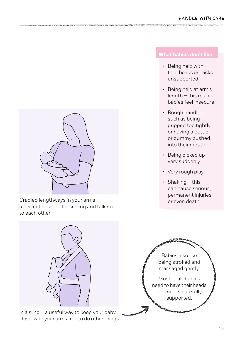

Cradled lengthways in your arms – a perfect position for smiling and talking to each other



In a sling – a useful way to keep your baby close, with your arms free to do other things

- Being held with their heads or backs unsupported
- Being held at arm's length – this makes babies feel insecure
- Rough handling, such as being gripped too tightly or having a bottle or dummy pushed into their mouth
- Being picked up very suddenly
- Very rough play
- Shaking this can cause serious, permanent injuries or even death

Babies also like being stroked and massaged gently.

Most of all, babies need to have their heads and necks carefully supported.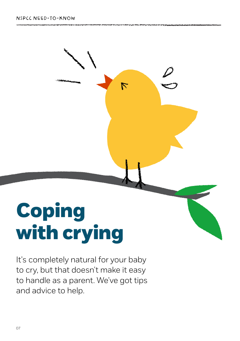# Coping with crying

It's completely natural for your baby to cry, but that doesn't make it easy to handle as a parent. We've got tips and advice to help.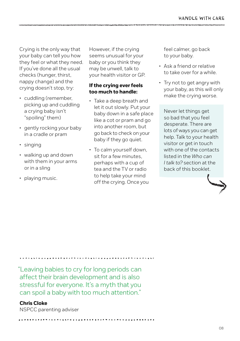Crying is the only way that your baby can tell you how they feel or what they need. If you've done all the usual checks (hunger, thirst, nappy change) and the crying doesn't stop, try:

- cuddling (remember, picking up and cuddling a crying baby isn't "spoiling" them)
- gently rocking your baby in a cradle or pram
- singing
- walking up and down with them in your arms or in a sling
- playing music.

However, if the crying seems unusual for your baby or you think they may be unwell, talk to your health visitor or GP.

### **If the crying ever feels too much to handle:**

- Take a deep breath and let it out slowly. Put your baby down in a safe place like a cot or pram and go into another room, but go back to check on your baby if they go quiet.
- To calm yourself down, sit for a few minutes perhaps with a cup of tea and the TV or radio to help take your mind off the crying. Once you

feel calmer, go back to your baby.

- Ask a friend or relative to take over for a while.
- Try not to get angry with your baby, as this will only make the crying worse.

Never let things get so bad that you feel desperate. There are lots of ways you can get help. Talk to your health visitor or get in touch with one of the contacts listed in the *Who can I talk to?* section at the back of this booklet.



"Leaving babies to cry for long periods can affect their brain development and is also stressful for everyone. It's a myth that you can spoil a baby with too much attention."

### **Chris Cloke**

NSPCC parenting adviser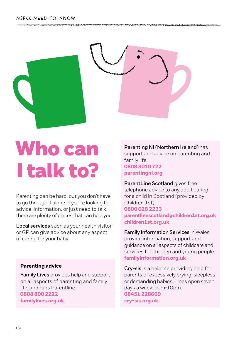

## Who can I talk to?

Parenting can be hard, but you don't have to go through it alone. If you're looking for advice, information, or just need to talk, there are plenty of places that can help you.

**Local services** such as your health visitor or GP can give advice about any aspect of caring for your baby.

### **Parenting advice**

**Family Lives** provides help and support on all aspects of parenting and family life, and runs Parentline. **0808 800 2222 [familylives.org.uk](http://www.familylives.org.uk/)**

**Parenting NI (Northern Ireland)** has support and advice on parenting and family life. **0808 8010 722 [parentingni.org](http://parentingni.org)**

**ParentLine Scotland** gives free telephone advice to any adult caring for a child in Scotland (provided by Children 1st). **0800 028 2233 [parentlinescotland@children1st.org.uk](mailto:parentlinescotland%40children1st.org.uk?subject=) [children1st.org.uk](http://www.children1st.org.uk/)**

**Family Information Services** in Wales provide information, support and guidance on all aspects of childcare and services for children and young people. **[familyinformation.org.uk](http://familyinformation.org.uk/)**

**Cry-sis** is a helpline providing help for parents of excessively crying, sleepless or demanding babies. Lines open seven days a week, 9am-10pm. **08451 228669 [cry-sis.org.uk](http://cry-sis.org.uk/)**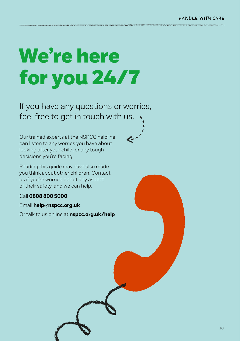## We're here for you 24/7

If you have any questions or worries, feel free to get in touch with us.

Our trained experts at the NSPCC helpline can listen to any worries you have about looking after your child, or any tough decisions you're facing.

Reading this guide may have also made you think about other children. Contact us if you're worried about any aspect of their safety, and we can help.

### Call **0808 800 5000**

Email **[help@nspcc.org.uk](mailto:help%40nspcc.org.uk?subject=)**

Or talk to us online at **[nspcc.org.uk/help](http://www.nspcc.org.uk/what-you-can-do/get-advice-and-support/)**